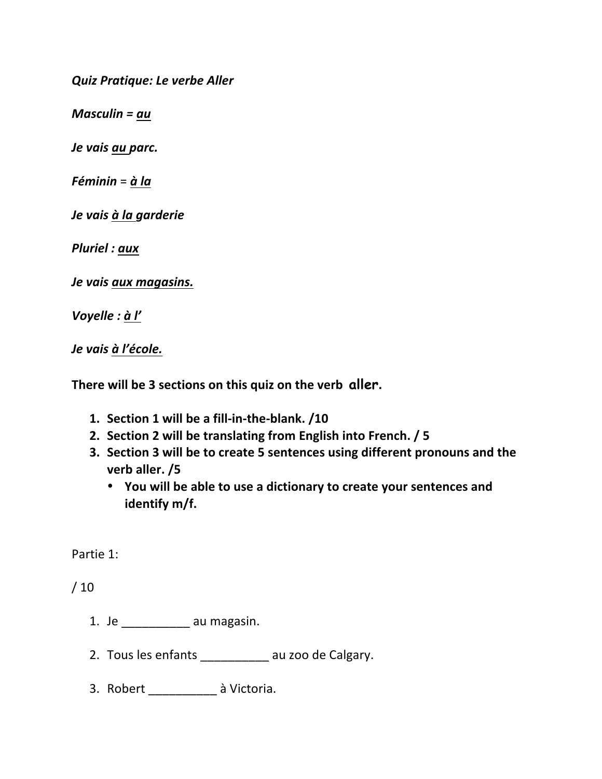*Quiz Pratique: Le verbe Aller*

*Masculin* =  $au$ 

*Je vais au parc.*

*Féminin* = *à la*

*Je vais à la garderie*

*Pluriel : aux*

*Je vais aux magasins.*

*Voyelle : à l'*

*Je vais à l'école.*

There will be 3 sections on this quiz on the verb aller.

- **1. Section 1 will be a fill-in-the-blank. /10**
- 2. Section 2 will be translating from English into French. / 5
- **3.** Section 3 will be to create 5 sentences using different pronouns and the **verb aller. /5**
	- You will be able to use a dictionary to create your sentences and identify m/f.

Partie 1:

 $/10$ 

- 1. Je au magasin.
- 2. Tous les enfants \_\_\_\_\_\_\_\_\_\_\_ au zoo de Calgary.
- 3. Robert \_\_\_\_\_\_\_\_\_\_\_ à Victoria.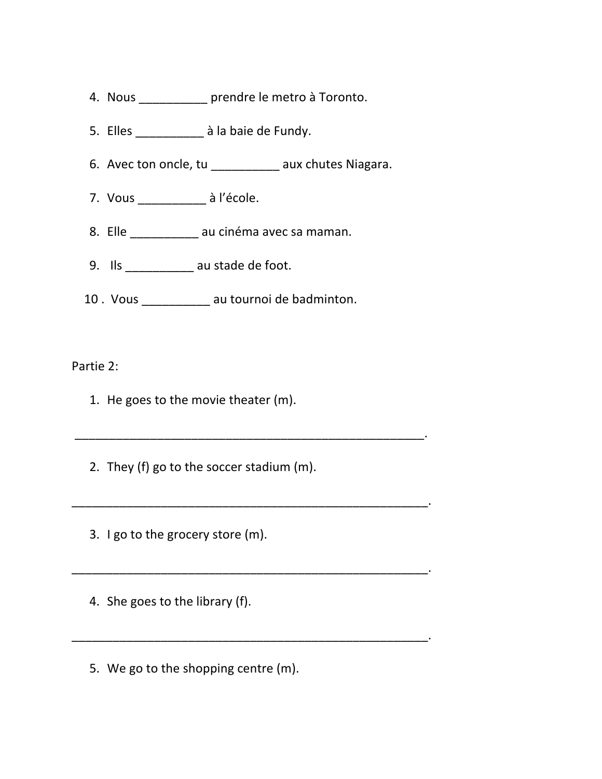- 4. Nous \_\_\_\_\_\_\_\_\_\_\_ prendre le metro à Toronto.
- 5. Elles \_\_\_\_\_\_\_\_\_\_\_ à la baie de Fundy.
- 6. Avec ton oncle, tu \_\_\_\_\_\_\_\_\_\_\_ aux chutes Niagara.
- 7. Vous \_\_\_\_\_\_\_\_\_\_\_ à l'école.
- 8. Elle \_\_\_\_\_\_\_\_\_\_\_ au cinéma avec sa maman.
- 9. Ils au stade de foot.
- 10 . Vous \_\_\_\_\_\_\_\_\_\_\_ au tournoi de badminton.

Partie 2:

- 1. He goes to the movie theater  $(m)$ .
- 2. They (f) go to the soccer stadium (m).

\_\_\_\_\_\_\_\_\_\_\_\_\_\_\_\_\_\_\_\_\_\_\_\_\_\_\_\_\_\_\_\_\_\_\_\_\_\_\_\_\_\_\_\_\_\_\_\_\_\_\_.

\_\_\_\_\_\_\_\_\_\_\_\_\_\_\_\_\_\_\_\_\_\_\_\_\_\_\_\_\_\_\_\_\_\_\_\_\_\_\_\_\_\_\_\_\_\_\_\_\_\_\_\_.

\_\_\_\_\_\_\_\_\_\_\_\_\_\_\_\_\_\_\_\_\_\_\_\_\_\_\_\_\_\_\_\_\_\_\_\_\_\_\_\_\_\_\_\_\_\_\_\_\_\_\_\_.

\_\_\_\_\_\_\_\_\_\_\_\_\_\_\_\_\_\_\_\_\_\_\_\_\_\_\_\_\_\_\_\_\_\_\_\_\_\_\_\_\_\_\_\_\_\_\_\_\_\_\_\_.

- 3. I go to the grocery store  $(m)$ .
- 4. She goes to the library (f).
- 5. We go to the shopping centre (m).